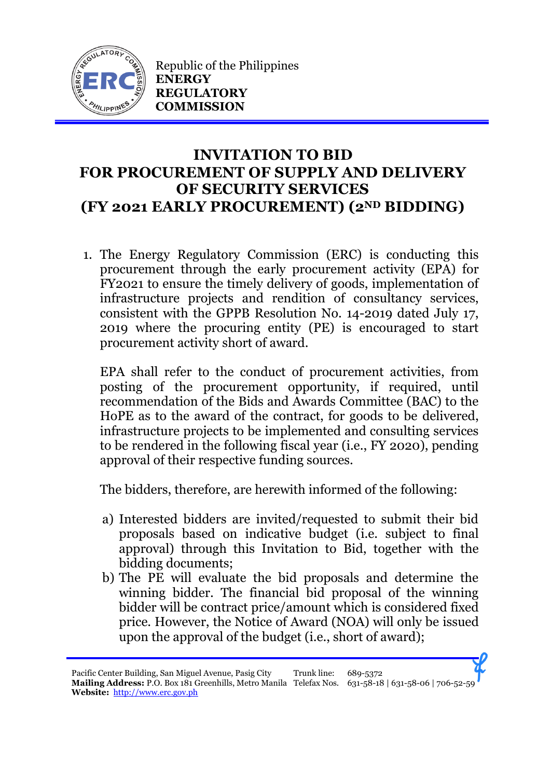

Republic of the Philippines **ENERGY REGULATORY COMMISSION**

## **INVITATION TO BID FOR PROCUREMENT OF SUPPLY AND DELIVERY OF SECURITY SERVICES (FY 2021 EARLY PROCUREMENT) (2ND BIDDING)**

1. The Energy Regulatory Commission (ERC) is conducting this procurement through the early procurement activity (EPA) for FY2021 to ensure the timely delivery of goods, implementation of infrastructure projects and rendition of consultancy services, consistent with the GPPB Resolution No. 14-2019 dated July 17, 2019 where the procuring entity (PE) is encouraged to start procurement activity short of award.

EPA shall refer to the conduct of procurement activities, from posting of the procurement opportunity, if required, until recommendation of the Bids and Awards Committee (BAC) to the HoPE as to the award of the contract, for goods to be delivered, infrastructure projects to be implemented and consulting services to be rendered in the following fiscal year (i.e., FY 2020), pending approval of their respective funding sources.

The bidders, therefore, are herewith informed of the following:

- a) Interested bidders are invited/requested to submit their bid proposals based on indicative budget (i.e. subject to final approval) through this Invitation to Bid, together with the bidding documents;
- b) The PE will evaluate the bid proposals and determine the winning bidder. The financial bid proposal of the winning bidder will be contract price/amount which is considered fixed price. However, the Notice of Award (NOA) will only be issued upon the approval of the budget (i.e., short of award);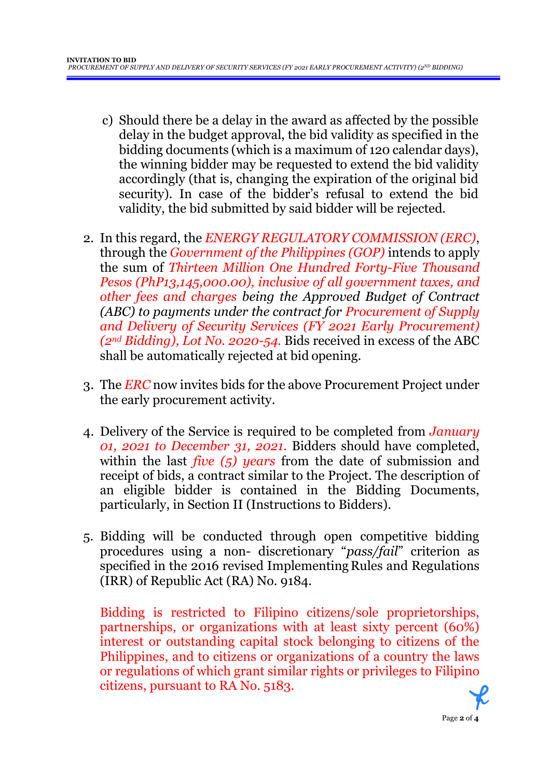- c) Should there be a delay in the award as affected by the possible delay in the budget approval, the bid validity as specified in the bidding documents (which is a maximum of 120 calendar days), the winning bidder may be requested to extend the bid validity accordingly (that is, changing the expiration of the original bid security). In case of the bidder's refusal to extend the bid validity, the bid submitted by said bidder will be rejected.
- 2. In this regard, the *ENERGY REGULATORY COMMISSION (ERC)*, through the *Government of the Philippines (GOP)* intends to apply the sum of *Thirteen Million One Hundred Forty-Five Thousand Pesos (PhP13,145,000.00), inclusive of all government taxes, and other fees and charges being the Approved Budget of Contract (ABC) to payments under the contract for Procurement of Supply and Delivery of Security Services (FY 2021 Early Procurement) (2nd Bidding), Lot No. 2020-54.* Bids received in excess of the ABC shall be automatically rejected at bid opening.
- 3. The *ERC* now invites bids for the above Procurement Project under the early procurement activity.
- 4. Delivery of the Service is required to be completed from *January 01, 2021 to December 31, 2021.* Bidders should have completed, within the last *five (5) years* from the date of submission and receipt of bids, a contract similar to the Project. The description of an eligible bidder is contained in the Bidding Documents, particularly, in Section II (Instructions to Bidders).
- 5. Bidding will be conducted through open competitive bidding procedures using a non- discretionary "*pass/fail*" criterion as specified in the 2016 revised Implementing Rules and Regulations (IRR) of Republic Act (RA) No. 9184.

Bidding is restricted to Filipino citizens/sole proprietorships, partnerships, or organizations with at least sixty percent (60%) interest or outstanding capital stock belonging to citizens of the Philippines, and to citizens or organizations of a country the laws or regulations of which grant similar rights or privileges to Filipino citizens, pursuant to RA No. 5183.

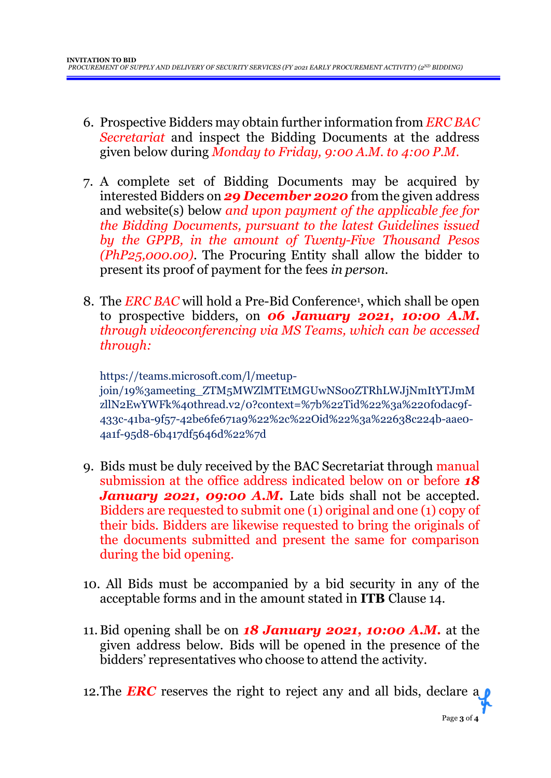- 6. Prospective Bidders may obtain further information from *ERC BAC Secretariat* and inspect the Bidding Documents at the address given below during *Monday to Friday, 9:00 A.M. to 4:00 P.M*.
- 7. A complete set of Bidding Documents may be acquired by interested Bidders on *29 December 2020* from the given address and website(s) below *and upon payment of the applicable fee for the Bidding Documents, pursuant to the latest Guidelines issued by the GPPB, in the amount of Twenty-Five Thousand Pesos (PhP25,000.00)*. The Procuring Entity shall allow the bidder to present its proof of payment for the fees *in person.*
- 8. The *ERC BAC* will hold a Pre-Bid Conference<sup>1</sup> , which shall be open to prospective bidders, on *06 January 2021, 10:00 A.M. through videoconferencing via MS Teams, which can be accessed through:*

https://teams.microsoft.com/l/meetupjoin/19%3ameeting\_ZTM5MWZlMTEtMGUwNS00ZTRhLWJjNmItYTJmM zllN2EwYWFk%40thread.v2/0?context=%7b%22Tid%22%3a%220f0dac9f-433c-41ba-9f57-42be6fe671a9%22%2c%22Oid%22%3a%22638c224b-aae0- 4a1f-95d8-6b417df5646d%22%7d

- 9. Bids must be duly received by the BAC Secretariat through manual submission at the office address indicated below on or before *18 January 2021, 09:00 A.M.* Late bids shall not be accepted. Bidders are requested to submit one (1) original and one (1) copy of their bids. Bidders are likewise requested to bring the originals of the documents submitted and present the same for comparison during the bid opening.
- 10. All Bids must be accompanied by a bid security in any of the acceptable forms and in the amount stated in **ITB** Clause 14.
- 11.Bid opening shall be on *18 January 2021, 10:00 A.M.* at the given address below. Bids will be opened in the presence of the bidders' representatives who choose to attend the activity.

12. The **ERC** reserves the right to reject any and all bids, declare a **p**